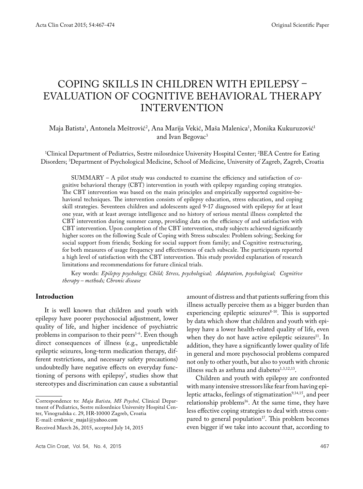# COPING SKILLS IN CHILDREN WITH EPILEPSY – EVALUATION OF COGNITIVE BEHAVIORAL THERAPY INTERVENTION

## Maja Batista<sup>1</sup>, Antonela Meštrović<sup>2</sup>, Ana Marija Vekić, Maša Malenica<sup>1</sup>, Monika Kukuruzović<sup>1</sup> and Ivan Begovac<sup>3</sup>

1 Clinical Department of Pediatrics, Sestre milosrdnice University Hospital Center; 2 BEA Centre for Eating Disorders; 3 Department of Psychological Medicine, School of Medicine, University of Zagreb, Zagreb, Croatia

SUMMARY – A pilot study was conducted to examine the efficiency and satisfaction of cognitive behavioral therapy (CBT) intervention in youth with epilepsy regarding coping strategies. The CBT intervention was based on the main principles and empirically supported cognitive-behavioral techniques. The intervention consists of epilepsy education, stress education, and coping skill strategies. Seventeen children and adolescents aged 9-17 diagnosed with epilepsy for at least one year, with at least average intelligence and no history of serious mental illness completed the CBT intervention during summer camp, providing data on the efficiency of and satisfaction with CBT intervention. Upon completion of the CBT intervention, study subjects achieved significantly higher scores on the following Scale of Coping with Stress subscales: Problem solving; Seeking for social support from friends; Seeking for social support from family; and Cognitive restructuring, for both measures of usage frequency and effectiveness of each subscale. The participants reported a high level of satisfaction with the CBT intervention. This study provided explanation of research limitations and recommendations for future clinical trials.

Key words: *Epilepsy psychology; Child; Stress, psychological; Adaptation, psychological; Cognitive therapy – methods; Chronic disease*

## **Introduction**

It is well known that children and youth with epilepsy have poorer psychosocial adjustment, lower quality of life, and higher incidence of psychiatric problems in comparison to their peers<sup>1-6</sup>. Even though direct consequences of illness (e.g., unpredictable epileptic seizures, long-term medication therapy, different restrictions, and necessary safety precautions) undoubtedly have negative effects on everyday functioning of persons with epilepsy7 , studies show that stereotypes and discrimination can cause a substantial

Correspondence to: *Maja Batista, MS Psychol,* Clinical Department of Pediatrics, Sestre milosrdnice University Hospital Center, Vinogradska c. 29, HR-10000 Zagreb, Croatia

E-mail: crnkovic\_maja1@yahoo.com

amount of distress and that patients suffering from this illness actually perceive them as a bigger burden than experiencing epileptic seizures<sup>8-10</sup>. This is supported by data which show that children and youth with epilepsy have a lower health-related quality of life, even when they do not have active epileptic seizures<sup>11</sup>. In addition, they have a significantly lower quality of life in general and more psychosocial problems compared not only to other youth, but also to youth with chronic illness such as asthma and diabetes<sup>1,3,12,13</sup>.

Children and youth with epilepsy are confronted with many intensive stressors like fear from having epileptic attacks, feelings of stigmatization<sup>9,14,15</sup>, and peer relationship problems<sup>16</sup>. At the same time, they have less effective coping strategies to deal with stress compared to general population<sup>17</sup>. This problem becomes even bigger if we take into account that, according to

Received March 26, 2015, accepted July 14, 2015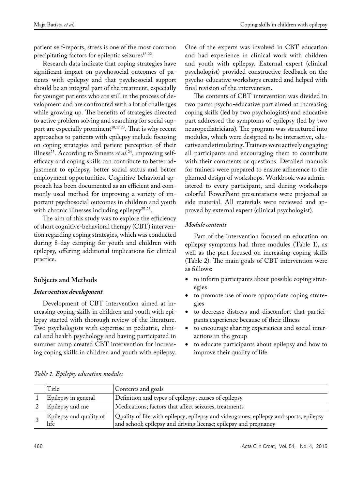patient self-reports, stress is one of the most common precipitating factors for epileptic seizures<sup>18-22</sup>.

Research data indicate that coping strategies have significant impact on psychosocial outcomes of patients with epilepsy and that psychosocial support should be an integral part of the treatment, especially for younger patients who are still in the process of development and are confronted with a lot of challenges while growing up. The benefits of strategies directed to active problem solving and searching for social support are especially prominent<sup>10,17,23</sup>. That is why recent approaches to patients with epilepsy include focusing on coping strategies and patient perception of their illness<sup>23</sup>. According to Smeets *et al*.<sup>24</sup>, improving selfefficacy and coping skills can contribute to better adjustment to epilepsy, better social status and better employment opportunities. Cognitive-behavioral approach has been documented as an efficient and commonly used method for improving a variety of important psychosocial outcomes in children and youth with chronic illnesses including epilepsy<sup>25-28</sup>.

The aim of this study was to explore the efficiency of short cognitive-behavioral therapy (CBT) intervention regarding coping strategies, which was conducted during 8-day camping for youth and children with epilepsy, offering additional implications for clinical practice.

# **Subjects and Methods**

# *Intervention development*

Development of CBT intervention aimed at increasing coping skills in children and youth with epilepsy started with thorough review of the literature. Two psychologists with expertise in pediatric, clinical and health psychology and having participated in summer camp created CBT intervention for increasing coping skills in children and youth with epilepsy.

One of the experts was involved in CBT education and had experience in clinical work with children and youth with epilepsy. External expert (clinical psychologist) provided constructive feedback on the psycho-educative workshops created and helped with final revision of the intervention.

The contents of CBT intervention was divided in two parts: psycho-educative part aimed at increasing coping skills (led by two psychologists) and educative part addressed the symptoms of epilepsy (led by two neuropediatricians). The program was structured into modules, which were designed to be interactive, educative and stimulating. Trainers were actively engaging all participants and encouraging them to contribute with their comments or questions. Detailed manuals for trainers were prepared to ensure adherence to the planned design of workshops. Workbook was administered to every participant, and during workshops colorful PowerPoint presentations were projected as side material. All materials were reviewed and approved by external expert (clinical psychologist).

## *Module contents*

Part of the intervention focused on education on epilepsy symptoms had three modules (Table 1), as well as the part focused on increasing coping skills (Table 2). The main goals of CBT intervention were as follows:

- to inform participants about possible coping strategies
- to promote use of more appropriate coping strategies
- • to decrease distress and discomfort that participants experience because of their illness
- to encourage sharing experiences and social interactions in the group
- to educate participants about epilepsy and how to improve their quality of life

| Title                           | Contents and goals                                                                                                                                        |
|---------------------------------|-----------------------------------------------------------------------------------------------------------------------------------------------------------|
| Epilepsy in general             | Definition and types of epilepsy; causes of epilepsy                                                                                                      |
| Epilepsy and me                 | Medications; factors that affect seizures, treatments                                                                                                     |
| Epilepsy and quality of<br>life | Quality of life with epilepsy; epilepsy and videogames; epilepsy and sports; epilepsy<br>and school; epilepsy and driving license; epilepsy and pregnancy |

# *Table 1. Epilepsy education modules*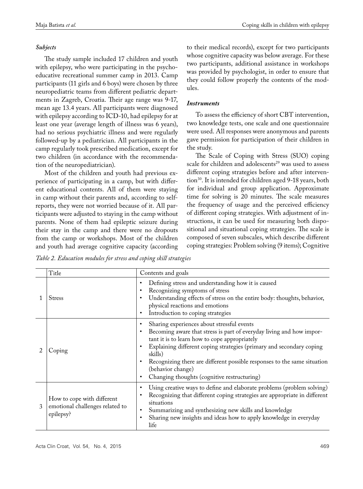### *Subjects*

The study sample included 17 children and youth with epilepsy, who were participating in the psychoeducative recreational summer camp in 2013. Camp participants (11 girls and 6 boys) were chosen by three neuropediatric teams from different pediatric departments in Zagreb, Croatia. Their age range was 9-17, mean age 13.4 years. All participants were diagnosed with epilepsy according to ICD-10, had epilepsy for at least one year (average length of illness was 6 years), had no serious psychiatric illness and were regularly followed-up by a pediatrician. All participants in the camp regularly took prescribed medication, except for two children (in accordance with the recommendation of the neuropediatrician).

Most of the children and youth had previous experience of participating in a camp, but with different educational contents. All of them were staying in camp without their parents and, according to selfreports, they were not worried because of it. All participants were adjusted to staying in the camp without parents. None of them had epileptic seizure during their stay in the camp and there were no dropouts from the camp or workshops. Most of the children and youth had average cognitive capacity (according to their medical records), except for two participants whose cognitive capacity was below average. For these two participants, additional assistance in workshops was provided by psychologist, in order to ensure that they could follow properly the contents of the modules.

## *Instruments*

To assess the efficiency of short CBT intervention, two knowledge tests, one scale and one questionnaire were used. All responses were anonymous and parents gave permission for participation of their children in the study.

The Scale of Coping with Stress (SUO) coping scale for children and adolescents<sup>29</sup> was used to assess different coping strategies before and after intervention<sup>30</sup>. It is intended for children aged 9-18 years, both for individual and group application. Approximate time for solving is 20 minutes. The scale measures the frequency of usage and the perceived efficiency of different coping strategies. With adjustment of instructions, it can be used for measuring both dispositional and situational coping strategies. The scale is composed of seven subscales, which describe different coping strategies: Problem solving (9 items); Cognitive

*Table 2. Education modules for stress and coping skill strategies* 

| Title                                                                      | Contents and goals                                                                                                                                                                                                                                                                                                                                                                                     |  |  |  |  |  |  |
|----------------------------------------------------------------------------|--------------------------------------------------------------------------------------------------------------------------------------------------------------------------------------------------------------------------------------------------------------------------------------------------------------------------------------------------------------------------------------------------------|--|--|--|--|--|--|
| <b>Stress</b>                                                              | Defining stress and understanding how it is caused<br>Recognizing symptoms of stress<br>Understanding effects of stress on the entire body: thoughts, behavior,<br>physical reactions and emotions<br>Introduction to coping strategies                                                                                                                                                                |  |  |  |  |  |  |
| Coping                                                                     | Sharing experiences about stressful events<br>Becoming aware that stress is part of everyday living and how impor-<br>tant it is to learn how to cope appropriately<br>Explaining different coping strategies (primary and secondary coping<br>skills)<br>Recognizing there are different possible responses to the same situation<br>(behavior change)<br>Changing thoughts (cognitive restructuring) |  |  |  |  |  |  |
| How to cope with different<br>emotional challenges related to<br>epilepsy? | Using creative ways to define and elaborate problems (problem solving)<br>Recognizing that different coping strategies are appropriate in different<br>situations<br>Summarizing and synthesizing new skills and knowledge<br>Sharing new insights and ideas how to apply knowledge in everyday<br>life                                                                                                |  |  |  |  |  |  |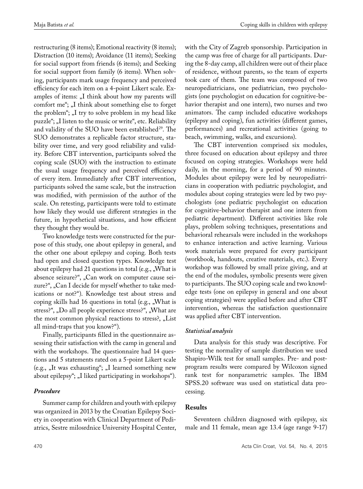restructuring (8 items); Emotional reactivity (8 items); Distraction (10 items); Avoidance (11 items); Seeking for social support from friends (6 items); and Seeking for social support from family (6 items). When solving, participants mark usage frequency and perceived efficiency for each item on a 4-point Likert scale. Examples of items: "I think about how my parents will comfort me"; "I think about something else to forget the problem"; "I try to solve problem in my head like puzzle"; "I listen to the music or write", etc. Reliability and validity of the SUO have been established<sup>29</sup>. The SUO demonstrates a replicable factor structure, stability over time, and very good reliability and validity. Before CBT intervention, participants solved the coping scale (SUO) with the instruction to estimate the usual usage frequency and perceived efficiency of every item. Immediately after CBT intervention, participants solved the same scale, but the instruction was modified, with permission of the author of the scale. On retesting, participants were told to estimate how likely they would use different strategies in the future, in hypothetical situations, and how efficient they thought they would be.

Two knowledge tests were constructed for the purpose of this study, one about epilepsy in general, and the other one about epilepsy and coping. Both tests had open and closed question types. Knowledge test about epilepsy had 21 questions in total (e.g.,  $W$ ), What is absence seizure?", "Can work on computer cause seizure?", "Can I decide for myself whether to take medications or not?"). Knowledge test about stress and coping skills had 16 questions in total (e.g.,  $W$ ) What is stress?", "Do all people experience stress?", "What are the most common physical reactions to stress?, "List all mind-traps that you know?").

Finally, participants filled in the questionnaire assessing their satisfaction with the camp in general and with the workshops. The questionnaire had 14 questions and 5 statements rated on a 5-point Likert scale (e.g., "It was exhausting"; "I learned something new about epilepsy"; "I liked participating in workshops").

## *Procedure*

Summer camp for children and youth with epilepsy was organized in 2013 by the Croatian Epilepsy Society in cooperation with Clinical Department of Pediatrics, Sestre milosrdnice University Hospital Center,

with the City of Zagreb sponsorship. Participation in the camp was free of charge for all participants. During the 8-day camp, all children were out of their place of residence, without parents, so the team of experts took care of them. The team was composed of two neuropediatricians, one pediatrician, two psychologists (one psychologist on education for cognitive-behavior therapist and one intern), two nurses and two animators. The camp included educative workshops (epilepsy and coping), fun activities (different games, performances) and recreational activities (going to beach, swimming, walks, and excursions).

The CBT intervention comprised six modules, three focused on education about epilepsy and three focused on coping strategies. Workshops were held daily, in the morning, for a period of 90 minutes. Modules about epilepsy were led by neuropediatricians in cooperation with pediatric psychologist, and modules about coping strategies were led by two psychologists (one pediatric psychologist on education for cognitive-behavior therapist and one intern from pediatric department). Different activities like role plays, problem solving techniques, presentations and behavioral rehearsals were included in the workshops to enhance interaction and active learning. Various work materials were prepared for every participant (workbook, handouts, creative materials, etc.). Every workshop was followed by small prize giving, and at the end of the modules, symbolic presents were given to participants. The SUO coping scale and two knowledge tests (one on epilepsy in general and one about coping strategies) were applied before and after CBT intervention, whereas the satisfaction questionnaire was applied after CBT intervention.

#### *Statistical analysis*

Data analysis for this study was descriptive. For testing the normality of sample distribution we used Shapiro-Wilk test for small samples. Pre- and postprogram results were compared by Wilcoxon signed rank test for nonparametric samples. The IBM SPSS.20 software was used on statistical data processing.

## **Results**

Seventeen children diagnosed with epilepsy, six male and 11 female, mean age 13.4 (age range 9-17)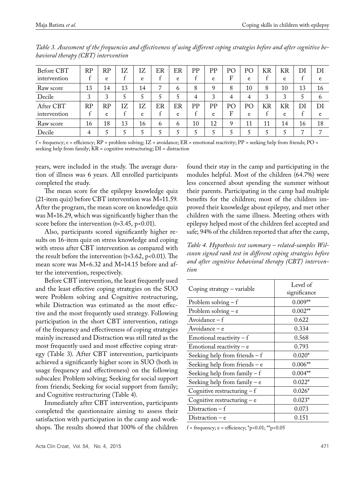| Before CBT   | RP | RP | ΙZ | IZ | ER           | ER           | PP | PP | PО | PО | KR | KR | Dl | DI           |
|--------------|----|----|----|----|--------------|--------------|----|----|----|----|----|----|----|--------------|
| intervention |    | e  |    | e  |              | e            |    | e  | F  | e  |    | e  | ÷. | e            |
| Raw score    | 13 | 14 | 13 | 14 | ד            | 6            | 8  | Q  | 8  | 10 | 8  | 10 | 13 | 16           |
| Decile       | 3  | 3  |    |    |              |              | 4  | 3  | 4  | 4  | 3  | 3  |    | <sub>6</sub> |
| After CBT    | RP | RP | IZ | IΖ | ER           | ER           | PP | PP | PО | PО | KR | KR | DI | DI           |
| intervention |    | e  |    | e  |              | e            |    | e  | F  | e  |    | e  | ÷  | e            |
| Raw score    | 16 | 18 | 13 | 16 | <sub>6</sub> | <sub>6</sub> | 10 | 12 | q  | 11 | 11 | 14 | 16 | 18           |
| Decile       | 4  |    |    |    |              |              |    |    |    |    |    |    | ⇁  |              |

*Table 3. Assessment of the frequencies and effectiveness of using different coping strategies before and after cognitive behavioral therapy (CBT) intervention*

 $f = \{ \text{frequency}; e = \text{efficiency}; RP = \text{problem solving}; IZ = \text{avoidance}; ER = \text{emotional reactivity}; PP = \text{seeking help from friends}; PO = \text{m} \}$ seeking help from family; KR = cognitive restructuring; DI = distraction

years, were included in the study. The average duration of illness was 6 years. All enrolled participants completed the study.

The mean score for the epilepsy knowledge quiz (21-item quiz) before CBT intervention was M*=*11.59. After the program, the mean score on knowledge quiz was M=16.29, which was significantly higher than the score before the intervention ( $t=3.45$ ,  $p<0.01$ ).

Also, participants scored significantly higher results on 16-item quiz on stress knowledge and coping with stress after CBT intervention as compared with the result before the intervention ( $t=3.62$ ,  $p<0.01$ ). The mean score was M=6.32 and M=14.15 before and after the intervention, respectively.

Before CBT intervention, the least frequently used and the least effective coping strategies on the SUO were Problem solving and Cognitive restructuring, while Distraction was estimated as the most effective and the most frequently used strategy. Following participation in the short CBT intervention, ratings of the frequency and effectiveness of coping strategies mainly increased and Distraction was still rated as the most frequently used and most effective coping strategy (Table 3). After CBT intervention, participants achieved a significantly higher score in SUO (both in usage frequency and effectiveness) on the following subscales: Problem solving; Seeking for social support from friends; Seeking for social support from family; and Cognitive restructuring (Table 4).

Immediately after CBT intervention, participants completed the questionnaire aiming to assess their satisfaction with participation in the camp and workshops. The results showed that 100% of the children

found their stay in the camp and participating in the modules helpful. Most of the children (64.7%) were less concerned about spending the summer without their parents. Participating in the camp had multiple benefits for the children; most of the children improved their knowledge about epilepsy, and met other children with the same illness. Meeting others with epilepsy helped most of the children feel accepted and safe; 94% of the children reported that after the camp,

*Table 4. Hypothesis test summary – related-samples Wilcoxon signed rank test in different coping strategies before and after cognitive behavioral therapy (CBT) intervention*

| Coping strategy – variable      | Level of<br>significance |  |  |  |  |  |
|---------------------------------|--------------------------|--|--|--|--|--|
| Problem solving $-f$            | $0.009**$                |  |  |  |  |  |
| Problem solving $-e$            | $0.002**$                |  |  |  |  |  |
| Avoidance – f                   | 0.622                    |  |  |  |  |  |
| Avoidance – e                   | 0.334                    |  |  |  |  |  |
| Emotional reactivity $-f$       | 0.568                    |  |  |  |  |  |
| Emotional reactivity – $e$      | 0.793                    |  |  |  |  |  |
| Seeking help from friends $- f$ | $0.020*$                 |  |  |  |  |  |
| Seeking help from friends $-e$  | $0.006**$                |  |  |  |  |  |
| Seeking help from family $-f$   | $0.004**$                |  |  |  |  |  |
| Seeking help from family $-e$   | $0.022*$                 |  |  |  |  |  |
| Cognitive restructuring $-f$    | $0.026*$                 |  |  |  |  |  |
| Cognitive restructuring $-e$    | $0.023*$                 |  |  |  |  |  |
| Distraction $-f$                | 0.073                    |  |  |  |  |  |
| Distraction – e                 | 0.151                    |  |  |  |  |  |

 $f = frequency$ ;  $e = efficiency$ ;  $*p < 0.01$ ;  $*p < 0.05$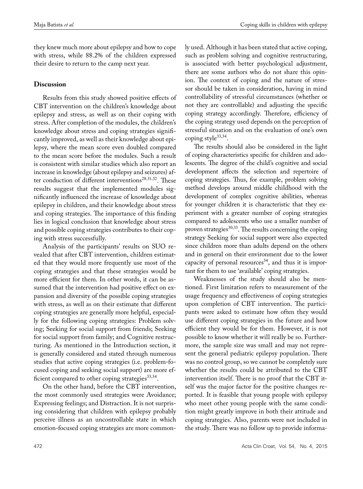they knew much more about epilepsy and how to cope with stress, while 88.2% of the children expressed their desire to return to the camp next year.

## **Discussion**

Results from this study showed positive effects of CBT intervention on the children's knowledge about epilepsy and stress, as well as on their coping with stress. After completion of the modules, the children's knowledge about stress and coping strategies significantly improved, as well as their knowledge about epilepsy, where the mean score even doubled compared to the mean score before the modules. Such a result is consistent with similar studies which also report an increase in knowledge (about epilepsy and seizures) after conduction of different interventions<sup>28,31,32</sup>. These results suggest that the implemented modules significantly influenced the increase of knowledge about epilepsy in children, and their knowledge about stress and coping strategies. The importance of this finding lies in logical conclusion that knowledge about stress and possible coping strategies contributes to their coping with stress successfully.

Analysis of the participants' results on SUO revealed that after CBT intervention, children estimated that they would more frequently use most of the coping strategies and that these strategies would be more efficient for them. In other words, it can be assumed that the intervention had positive effect on expansion and diversity of the possible coping strategies with stress, as well as on their estimate that different coping strategies are generally more helpful, especially for the following coping strategies: Problem solving; Seeking for social support from friends; Seeking for social support from family; and Cognitive restructuring. As mentioned in the Introduction section, it is generally considered and stated through numerous studies that active coping strategies (i.e. problem-focused coping and seeking social support) are more efficient compared to other coping strategies $^{33,34}$ .

On the other hand, before the CBT intervention, the most commonly used strategies were Avoidance; Expressing feelings; and Distraction. It is not surprising considering that children with epilepsy probably perceive illness as an uncontrollable state in which emotion-focused coping strategies are more commonly used. Although it has been stated that active coping, such as problem solving and cognitive restructuring, is associated with better psychological adjustment, there are some authors who do not share this opinion. The context of coping and the nature of stressor should be taken in consideration, having in mind controllability of stressful circumstances (whether or not they are controllable) and adjusting the specific coping strategy accordingly. Therefore, efficiency of the coping strategy used depends on the perception of stressful situation and on the evaluation of one's own coping style $33,34$ .

The results should also be considered in the light of coping characteristics specific for children and adolescents. The degree of the child's cognitive and social development affects the selection and repertoire of coping strategies. Thus, for example, problem solving method develops around middle childhood with the development of complex cognitive abilities, whereas for younger children it is characteristic that they experiment with a greater number of coping strategies compared to adolescents who use a smaller number of proven strategies<sup>30,33</sup>. The results concerning the coping strategy Seeking for social support were also expected since children more than adults depend on the others and in general on their environment due to the lower capacity of personal resources<sup>34</sup>, and thus it is important for them to use 'available' coping strategies.

Weaknesses of the study should also be mentioned. First limitation refers to measurement of the usage frequency and effectiveness of coping strategies upon completion of CBT intervention. The participants were asked to estimate how often they would use different coping strategies in the future and how efficient they would be for them. However, it is not possible to know whether it will really be so. Furthermore, the sample size was small and may not represent the general pediatric epilepsy population. There was no control group, so we cannot be completely sure whether the results could be attributed to the CBT intervention itself. There is no proof that the CBT itself was the major factor for the positive changes reported. It is feasible that young people with epilepsy who meet other young people with the same condition might greatly improve in both their attitude and coping strategies. Also, parents were not included in the study. There was no follow up to provide informa-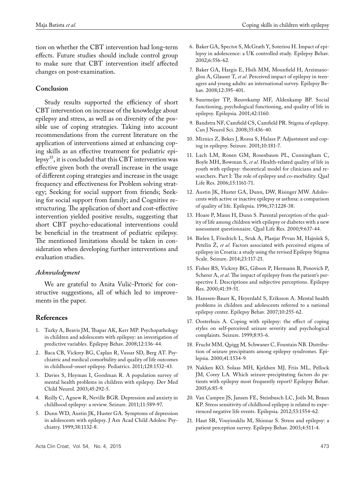tion on whether the CBT intervention had long-term effects. Future studies should include control group to make sure that CBT intervention itself affected changes on post-examination.

#### **Conclusion**

Study results supported the efficiency of short CBT intervention on increase of the knowledge about epilepsy and stress, as well as on diversity of the possible use of coping strategies. Taking into account recommendations from the current literature on the application of interventions aimed at enhancing coping skills as an effective treatment for pediatric epilepsy<sup>35</sup>, it is concluded that this CBT intervention was effective given both the overall increase in the usage of different coping strategies and increase in the usage frequency and effectiveness for Problem solving strategy; Seeking for social support from friends; Seeking for social support from family; and Cognitive restructuring. The application of short and cost-effective intervention yielded positive results, suggesting that short CBT psycho-educational interventions could be beneficial in the treatment of pediatric epilepsy. The mentioned limitations should be taken in consideration when developing further interventions and evaluation studies.

#### *Acknowledgment*

We are grateful to Anita Vulić-Prtorić for constructive suggestions, all of which led to improvements in the paper.

#### **References**

- 1. Turky A, Beavis JM, Thapar AK, Kerr MP. Psychopathology in children and adolescents with epilepsy: an investigation of predictive variables. Epilepsy Behav. 2008;12:136-44.
- 2. Baca CB, Vickrey BG, Caplan R, Vassar SD, Berg AT. Psychiatric and medical comorbidity and quality of life outcomes in childhood-onset epilepsy. Pediatrics. 2011;128:1532-43.
- 3. Davies S, Heyman I, Goodman R. A population survey of mental health problems in children with epilepsy. Dev Med Child Neurol. 2003;45:292-5.
- 4. Reilly C, Agnew R, Neville BGR. Depression and anxiety in childhood epilepsy: a review. Seizure. 2011;11:589-97.
- 5. Dunn WD, Austin JK, Huster GA. Symptoms of depression in adolescents with epilepsy. J Am Acad Child Adolesc Psychiatry. 1999;38:1132-8.
- 6. Baker GA, Spector S, McGrath Y, Soteriou H. Impact of epilepsy in adolescence: a UK controlled study. Epilepsy Behav. 2002;6:556-62.
- 7. Baker GA, Hargis E, Hsih MM, Mounfield H, Arzimanoglou A, Glauser T, *et al*. Perceived impact of epilepsy in teenagers and young adults: an international survey. Epilepsy Behav. 2008;12:395-401.
- 8. Suurmeijer TP, Reuvekamp MF, Aldenkamp BP. Social functioning, psychological functioning, and quality of life in epilepsy. Epilepsia. 2001;42:1160.
- 9. Bandstra NF, Camfield CS, Camfield PR. Stigma of epilepsy. Can J Neurol Sci. 2008;35:436-40.
- 10. Mirnics Z, Bekes J, Rozsa S, Halasz P. Adjustment and coping in epilepsy. Seizure. 2001;10:181-7.
- 11. Lach LM, Ronen GM, Rosenbaum PL, Cunningham C, Boyle MH, Bowman S, *et al*. Health-related quality of life in youth with epilepsy: theoretical model for clinicians and researchers. Part I: The role of epilepsy and co-morbidity. Qual Life Res. 2006;15:1161-71.
- 12. Austin JK, Huster GA, Dunn, DW, Risinger MW. Adolescents with active or inactive epilepsy or asthma: a comparison of quality of life. Epilepsia. 1996;37:1228-38.
- 13. Hoare P, Mann H, Dunn S. Parental perception of the quality of life among children with epilepsy or diabetes with a new assessment questionnaire. Qual Life Res. 2000;9:637-44.
- 14. Bielen I, Friedrich L, Sruk A, Planjar Prvan M, Hajnšek S, Petelin Ž, *et al*. Factors associated with perceived stigma of epilepsy in Croatia: a study using the revised Epilepsy Stigma Scale. Seizure. 2014;23:117-21.
- 15. Fisher RS, Vickrey BG, Gibson P, Hermann B, Penovich P, Scherer A, *et al*. The impact of epilepsy from the patient's perspective I. Descriptions and subjective perceptions. Epilepsy Res. 2000;41:39-51.
- 16. Hanssen-Bauer K, Heyerdahl S, Eriksson A. Mental health problems in children and adolescents referred to a national epilepsy center. Epilepsy Behav. 2007;10:255-62.
- 17. Oosterhuis A. Coping with epilepsy: the effect of coping styles on self-perceived seizure severity and psychological complaints. Seizure. 1999;8:93-6.
- 18. Frucht MM*,* Quigg M*,* Schwaner C*,* Fountain NB. Distribution of seizure precipitants among epilepsy syndromes*.* Epilepsia. 2000;41*:*1534*-*9*.*
- 19. Nakken KO*,* Solaas MH*,* Kjeldsen MJ*,* Friis ML*,* Pellock JM*,* Corey LA*.* Which seizure-precipitating factors do patients with epilepsy most frequently report? Epilepsy Behav. 2005;6*:*85*-*9*.*
- 20. Van Campen JS, Jansen FE, Steinbusch LC, Joëls M, Braun KP. Stress sensitivity of childhood epilepsy is related to experienced negative life events. Epilepsia. 2012;53:1554-62.
- 21. Haut SR, Vouyiouklis M, Shinnar S. Stress and epilepsy: a patient perception survey. Epilepsy Behav. 2003;4:511-4.